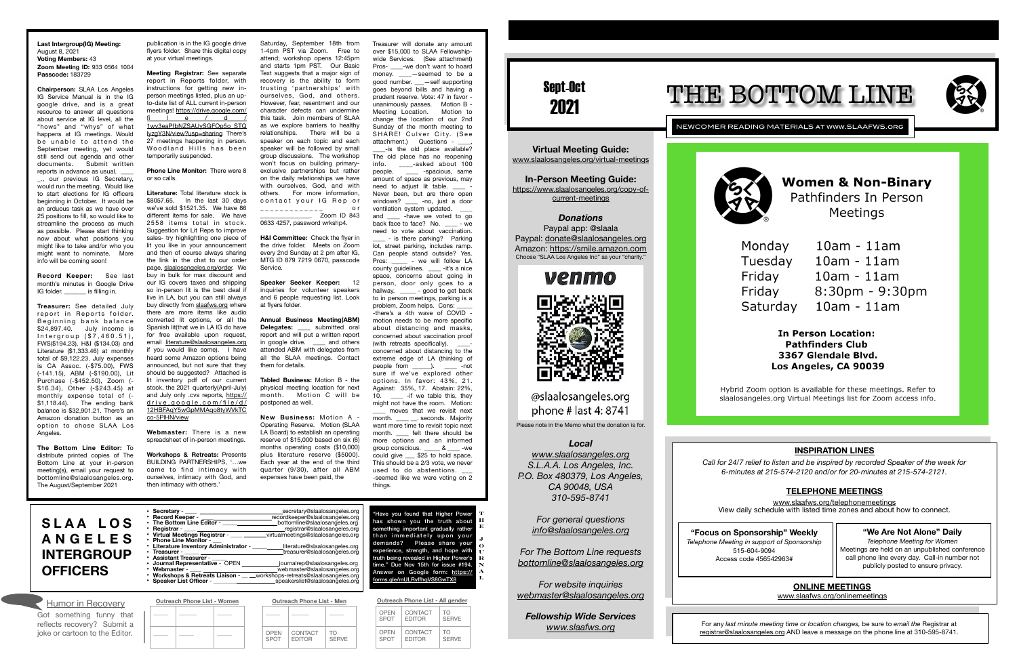Sept-Oct 2021

NEWCOMER READING MATERIALS at www.SLAAFWS.org



**Women & Non-Binary** Pathfinders In Person Meetings

 $10am - 11am$ 

Monday Tuesdav Friday Friday Saturday

 $10am - 11am$  $10am - 11am$  $8:30$ pm - 9:30pm  $10$ am -  $11$ am

**In Person Location: Pathfinders Club** 3367 Glendale Blvd. Los Angeles, CA 90039

Hybrid Zoom option is available for these meetings. Refer to slaalosangeles.org Virtual Meetings list for Zoom access info.

**Virtual Meeting Guide:**  [www.slaalosangeles.org/virtual-meetings](http://www.slaalosangeles.org/virtual-meetings)

Paypal app: @slaala Paypal: [donate@slaalosangeles.org](mailto:donate@slaalosangeles.org) Amazon: [https://smile.amazon.com](https://smile.amazon.com/) Choose "SLAA Los Angeles Inc" as your "charity."



@slaalosangeles.org phone # last 4: 8741

**In-Person Meeting Guide:**  [https://www.slaalosangeles.org/copy-of](https://www.slaalosangeles.org/copy-of-current-meetings)[current-meetings](https://www.slaalosangeles.org/copy-of-current-meetings)



Please note in the Memo what the donation is for.

### *Local*

*[www.slaalosangeles.org](http://www.slaalosangeles.org) S.L.A.A. Los Angeles, Inc. P.O. Box 480379, Los Angeles, CA 90048, USA 310-595-8741* 

*For general questions [info@slaalosangeles.org](mailto:info@slaalosangeles.org)*

*For The Bottom Line requests [bottomline@slaalosangeles.org](mailto:bottomline@slaalosangeles.org)*

*For website inquiries [webmaster@slaalosangeles.org](mailto:webmaster@slaalosangeles.org)*

*Fellowship Wide Services [www.slaafws.org](http://www.slaafws.org)*

**"Focus on Sponsorship" Weekly** *Telephone Meeting in support of Sponsorship*  515-604-9094 Access code 456542963#

For any *last minute meeting time or location changes,* be sure to *email the* Registrar at [registrar@slaalosangeles.org](mailto:registrar@slaalosangeles.org) AND leave a message on the phone line at 310-595-8741.





### **Last Intergroup(IG) Meeting:**  August 8, 2021 **Voting Members:** 43 **Zoom Meeting ID:** 933 0564 1004 **Passcode:** 183729

**Chairperson:** SLAA Los Angeles IG Service Manual is in the IG google drive, and is a great resource to answer all questions about service at IG level, all the "hows" and "whys" of what happens at IG meetings. Would be unable to attend the September meeting, yet would still send out agenda and other documents. Submit written reports in advance as usual. \_., our previous IG Secretary, would run the meeting. Would like to start elections for IG officers beginning in October. It would be an arduous task as we have over 25 positions to fill, so would like to streamline the process as much as possible. Please start thinking now about what positions you

might like to take and/or who you might want to nominate. More info will be coming soon!

**Record Keeper:** See last month's minutes in Google Drive IG folder. \_\_\_\_\_\_\_ is filling in.

**Treasurer:** See detailed July report in Reports folder. Beginning bank balance \$24,897.40. July income is  $Interarrow ( $7.460.51).$ FWS(\$194.23), H&I (\$134.03) and Literature (\$1,333.46) at monthly total of \$9,122.23. July expenses is CA Assoc. (-\$75.00), FWS (-141.15), ABM (-\$190.00), Lit Purchase (-\$452.50), Zoom (- \$16.34), Other (-\$243.45) at monthly expense total of (- \$1,118.44). The ending bank balance is \$32,901.21. There's an Amazon donation button as an option to chose SLAA Los Angeles.

**The Bottom Line Editor:** To distribute printed copies of The Bottom Line at your in-person meeting(s), email your request to bottomline@slaalosangeles.org. The August/September 2021

publication is in the IG google drive flyers folder. Share this digital copy at your virtual meetings.

wide Services. (See attachment) Pros- \_\_\_\_-we don't want to hoard money. \_\_\_\_-seemed to be a good number. \_\_\_—self supporting goes beyond bills and having a prudent reserve. Vote: 47 in favor unanimously passes. Motion B - Meeting Location. Motion to change the location of our 2nd Sunday of the month meeting to SHARE! Culver City. (See attachment.) Questions -\_\_\_\_-is the old place available? The old place has no reopening info.  $\frac{1}{100}$ -asked about 100 people. \_\_\_\_ -spacious, same amount of space as previous, may need to adjust lit table. \_\_\_\_ - Never been, but are there open windows? \_\_\_\_ -no, just a door ventilation system updated. and \_\_\_\_ -have we voted to go back face to face? No. \_\_\_\_\_ - we need to vote about vaccination. \_\_\_\_ - is there parking? Parking lot, street parking, includes ramp. Can people stand outside? Yes.<br>Pros: \_\_\_\_\_ - we will follow LA - we will follow LA county guidelines. \_\_\_\_ -it's a nice space, concerns about going in person, door only goes to a hallway. \_\_\_\_\_ - good to get back to in person meetings, parking is a problem, Zoom helps. Cons: -there's a 4th wave of COVID motion needs to be more specific about distancing and masks, concerned about vaccination proof (with retreats specifically). concerned about distancing to the extreme edge of LA (thinking of people from  $\qquad$ ).  $\qquad$  -not sure if we've explored other options. In favor: 43%, 21. Against: 35%, 17. Abstain: 22%, 10. \_\_\_\_\_ -if we table this, they

**Meeting Registrar:** See separate report in Reports folder, with instructions for getting new inperson meetings listed, plus an upto-date list of ALL current in-person meetings! [https://drive.google.com/](https://drive.google.com/file/d/1wv3eaPfbNZSAUySGFOp5o_STQIyzgY3N/view?usp=sharing) <u>ie/d/</u> [1wv3eaPfbNZSAUySGFOp5o\\_STQ](https://drive.google.com/file/d/1wv3eaPfbNZSAUySGFOp5o_STQIyzgY3N/view?usp=sharing) [IyzgY3N/view?usp=sharing](https://drive.google.com/file/d/1wv3eaPfbNZSAUySGFOp5o_STQIyzgY3N/view?usp=sharing) There's 27 meetings happening in person. Woodland Hills has been temporarily suspended.

### **Phone Line Monitor:** There were 8 or so calls.

**Literature:** Total literature stock is \$8057.65. In the last 30 days we've sold \$1521.35. We have 86 different items for sale. We have 2558 items total in stock. Suggestion for Lit Reps to improve sales- try highlighting one piece of lit you like in your announcement and then of course always sharing the link in the chat to our order page, [slaalosangeles.org/order.](http://slaalosangeles.org/order) We buy in bulk for max discount and our IG covers taxes and shipping so in-person lit is the best deal if live in LA, but you can still always buy directly from [slaafws.org](http://slaafws.org) where there are more items like audio converted lit options, or all the Spanish lit(that we in LA IG do have for free available upon request, email [literature@slaalosangeles.org](mailto:literature@slaalosangeles.org) if you would like some). I have heard some Amazon options being announced, but not sure that they should be suggested? Attached is lit inventory pdf of our current stock, the 2021 quarterly(April-July) and July only .cvs reports, [https://](https://drive.google.com/file/d/12HBFAqY5wGpMMAqo8tyWVkTCco-5PlHN/view) drive.google.com/file/d/ [12HBFAqY5wGpMMAqo8tyWVkTC](https://drive.google.com/file/d/12HBFAqY5wGpMMAqo8tyWVkTCco-5PlHN/view) [co-5PlHN/view](https://drive.google.com/file/d/12HBFAqY5wGpMMAqo8tyWVkTCco-5PlHN/view)

| <b>ANGELES</b><br><b>INTERGROUP</b><br><b>OFFICERS</b> | Virtual Meetings Registrar -<br>virtualmeetings@slaalosangeles.org<br><b>Phone Line Monitor -</b><br>literature@slaalosangeles.org<br>Literature Inventory Administrator -<br>treasurer@slaalosangeles.org<br>Treasurer - ____ ___<br><b>Assistant Treasurer -</b><br>Journal Representative - OPEN<br>journalrep@slaalosangeles.org<br>webmaster@slaalosangeles.org<br>Webmaster -<br><b>Workshops &amp; Retreats Liaison -</b><br>workshops-retreats@slaalosangeles.org<br><b>Speaker List Officer -</b><br>speakerslist@slaalosangeles.org | than immediately upon you<br>demands? Please share you<br>experience, strength, and hope wit<br>truth being revealed in Higher Power<br>time." Due Nov 15th for issue #19<br>Answer on Google form: https:<br>forms.gle/mULRvffhgVS8GwTX8 |
|--------------------------------------------------------|-----------------------------------------------------------------------------------------------------------------------------------------------------------------------------------------------------------------------------------------------------------------------------------------------------------------------------------------------------------------------------------------------------------------------------------------------------------------------------------------------------------------------------------------------|-------------------------------------------------------------------------------------------------------------------------------------------------------------------------------------------------------------------------------------------|
| Humor in Recovery                                      | <b>Outreach Phone List - Men</b><br><b>Outreach Phone List - Women</b>                                                                                                                                                                                                                                                                                                                                                                                                                                                                        | Outreach Phone List - All gender                                                                                                                                                                                                          |

OPEN SPOT

**CONTACT** EDITOR

TO **SERVE** 

**Webmaster:** There is a new spreadsheet of in-person meetings.

| 10. _____ -if we table this, they<br>might not have the room. Motion:<br>moves that we revisit next<br>month. ____ __. seconds. Majority<br>want more time to revisit topic next<br>month. _____ felt there should be<br>more options and an informed<br>group conscious. _____ & ____ -we<br>could give _____ \$25 to hold space.<br>This should be a 2/3 vote, we never<br>used to do abstentions. ___<br>-seemed like we were voting on 2<br>things. |                                              |
|---------------------------------------------------------------------------------------------------------------------------------------------------------------------------------------------------------------------------------------------------------------------------------------------------------------------------------------------------------------------------------------------------------------------------------------------------------|----------------------------------------------|
|                                                                                                                                                                                                                                                                                                                                                                                                                                                         |                                              |
| "Have you found that Higher Power<br>has shown you the truth about<br>something important gradually rather<br>than immediately upon your<br>demands? Please share your<br>experience, strength, and hope with<br>truth being revealed in Higher Power's<br>time." Due Nov 15th for issue #194.<br>announce Consider to the balance of                                                                                                                   | ŋ<br>I<br>I<br>$\ddot{\cdot}$<br>t<br>Ī<br>ľ |

**Workshops & Retreats:** Presents BUILDING PARTNERSHIPS, '…we came to find intimacy with ourselves, intimacy with God, and then intimacy with others.'

Saturday, September 18th from 1-4pm PST via Zoom. Free to attend; workshop opens 12:45pm and starts 1pm PST. Our Basic Text suggests that a major sign of recovery is the ability to form trusting 'partnerships' with ourselves, God, and others. However, fear, resentment and our character defects can undermine this task. Join members of SLAA as we explore barriers to healthy relationships. There will be a speaker on each topic and each speaker will be followed by small group discussions. The workshop won't focus on building primaryexclusive partnerships but rather on the daily relationships we have with ourselves, God, and with others. For more information, contact your IG Rep or \_ \_ \_ \_ \_ \_ \_ \_ \_ \_ \_ \_ \_ o r

\_\_\_\_\_\_\_\_\_\_\_\_\_\_\_\_. Zoom ID 843 0633 4257, password wrkshp4.

**H&I Committee:** Check the flyer in the drive folder. Meets on Zoom every 2nd Sunday at 2 pm after IG, MTG ID 879 7219 0670, passcode Service.

**Speaker Seeker Keeper:** 12 inquiries for volunteer speakers and 6 people requesting list. Look at flyers folder.

**Annual Business Meeting(ABM) Delegates: \_\_\_\_** submitted oral report and will put a written report in google drive. \_\_\_\_ and others attended ABM with delegates from all the SLAA meetings. Contact them for details.

**Tabled Business:** Motion B - the physical meeting location for next month. Motion C will be postponed as well.

**New Business:** Motion A - Operating Reserve. Motion (SLAA LA Board) to establish an operating reserve of \$15,000 based on six (6) months operating costs (\$10,000) plus literature reserve (\$5000). Each year at the end of the third quarter (9/30), after all ABM expenses have been paid, the

Treasurer will donate any amount over \$15,000 to SLAA Fellowship-



\_\_\_\_\_ \_\_\_\_\_\_ \_\_\_\_\_

\_\_\_\_\_ \_\_\_\_\_ \_\_\_\_\_

\_\_\_\_\_ \_\_\_\_\_\_ \_\_\_\_\_

| <b>OPEN</b> | CONTACT       | TΩ           |
|-------------|---------------|--------------|
| <b>SPOT</b> | <b>EDITOR</b> | <b>SFRVF</b> |
| <b>OPEN</b> | CONTACT       | TΩ           |
| <b>SPOT</b> | <b>EDITOR</b> | <b>SFRVF</b> |

Got something funny that reflects recovery? Submit a joke or cartoon to the Editor.

**S L A A L O S A N G E L E S INTERGROUP** 

### **INSPIRATION LINES**

*Call for 24/7 relief to listen and be inspired by recorded Speaker of the week for 6-minutes at 215-574-2120 and/or for 20-minutes at 215-574-2121.* 

# **TELEPHONE MEETINGS**

[www.slaafws.org/telephonemeetings](http://www.slaafws.org/telephonemeetings) View daily schedule with listed time zones and about how to connect.

# **ONLINE MEETINGS**

[www.slaafws.org/onlinemeetings](http://www.slaafws.org/onlinemeetings)

# **"We Are Not Alone" Daily**

*Telephone Meeting for Women*  Meetings are held on an unpublished conference call phone line every day. Call-in number not publicly posted to ensure privacy.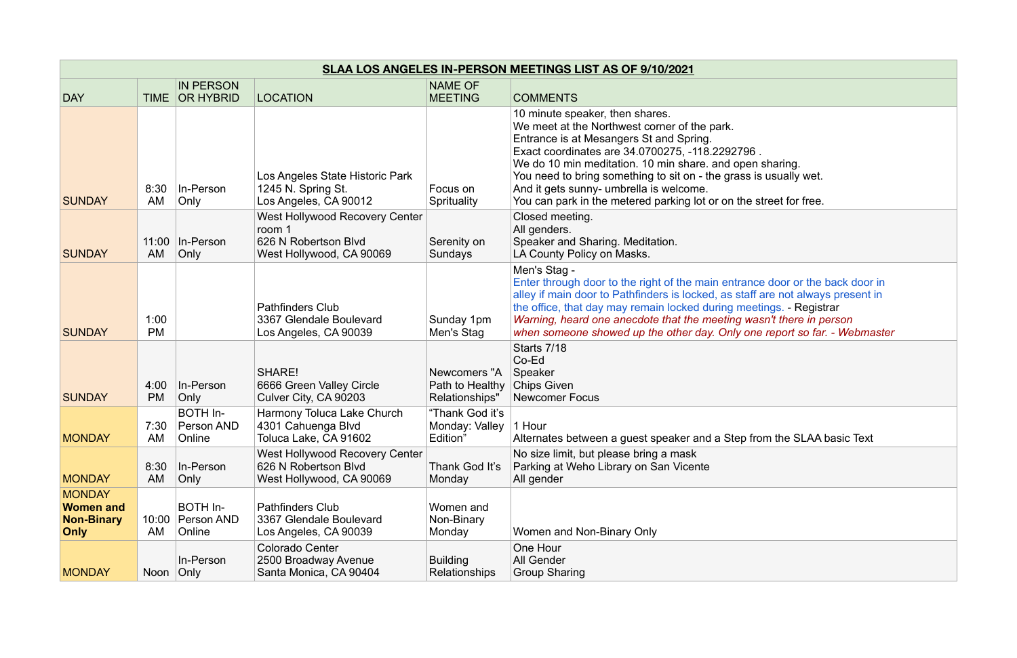| SLAA LOS ANGELES IN-PERSON MEETINGS LIST AS OF 9/10/2021              |                   |                                         |                                                                                                     |                                                   |                                                                                                                                                                                                                                                                                                                                                                                                                                 |
|-----------------------------------------------------------------------|-------------------|-----------------------------------------|-----------------------------------------------------------------------------------------------------|---------------------------------------------------|---------------------------------------------------------------------------------------------------------------------------------------------------------------------------------------------------------------------------------------------------------------------------------------------------------------------------------------------------------------------------------------------------------------------------------|
| <b>DAY</b>                                                            | TIME              | <b>IN PERSON</b><br><b>OR HYBRID</b>    | <b>LOCATION</b>                                                                                     | <b>NAME OF</b><br><b>MEETING</b>                  | <b>COMMENTS</b>                                                                                                                                                                                                                                                                                                                                                                                                                 |
| <b>SUNDAY</b>                                                         | 8:30<br>AM        | In-Person<br>Only                       | Los Angeles State Historic Park<br>1245 N. Spring St.<br>Los Angeles, CA 90012                      | Focus on<br>Sprituality                           | 10 minute speaker, then shares.<br>We meet at the Northwest corner of the park.<br>Entrance is at Mesangers St and Spring.<br>Exact coordinates are 34.0700275, -118.2292796.<br>We do 10 min meditation. 10 min share, and open sharing.<br>You need to bring something to sit on - the grass is usually wet.<br>And it gets sunny- umbrella is welcome.<br>You can park in the metered parking lot or on the street for free. |
| <b>SUNDAY</b>                                                         | 11:00<br>AM       | In-Person<br>Only                       | <b>West Hollywood Recovery Center</b><br>room 1<br>626 N Robertson Blvd<br>West Hollywood, CA 90069 | Serenity on<br>Sundays                            | Closed meeting.<br>All genders.<br>Speaker and Sharing. Meditation.<br>LA County Policy on Masks.                                                                                                                                                                                                                                                                                                                               |
| <b>SUNDAY</b>                                                         | 1:00<br><b>PM</b> |                                         | <b>Pathfinders Club</b><br>3367 Glendale Boulevard<br>Los Angeles, CA 90039                         | Sunday 1pm<br>Men's Stag                          | Men's Stag -<br>Enter through door to the right of the main entrance door or the back door in<br>alley if main door to Pathfinders is locked, as staff are not always present in<br>the office, that day may remain locked during meetings. - Registrar<br>Warning, heard one anecdote that the meeting wasn't there in person<br>when someone showed up the other day. Only one report so far. - Webmaster                     |
| <b>SUNDAY</b>                                                         | 4:00<br><b>PM</b> | In-Person<br>Only                       | <b>SHARE!</b><br>6666 Green Valley Circle<br>Culver City, CA 90203                                  | Newcomers "A<br>Path to Healthy<br>Relationships" | Starts 7/18<br>Co-Ed<br>Speaker<br><b>Chips Given</b><br><b>Newcomer Focus</b>                                                                                                                                                                                                                                                                                                                                                  |
| <b>MONDAY</b>                                                         | 7:30<br>AM        | <b>BOTH In-</b><br>Person AND<br>Online | Harmony Toluca Lake Church<br>4301 Cahuenga Blvd<br>Toluca Lake, CA 91602                           | "Thank God it's<br>Monday: Valley<br>Edition"     | 1 Hour<br>Alternates between a guest speaker and a Step from the SLAA basic Text                                                                                                                                                                                                                                                                                                                                                |
| <b>MONDAY</b>                                                         | 8:30<br>AM        | In-Person<br>Only                       | West Hollywood Recovery Center<br>626 N Robertson Blvd<br>West Hollywood, CA 90069                  | Thank God It's<br>Monday                          | No size limit, but please bring a mask<br>Parking at Weho Library on San Vicente<br>All gender                                                                                                                                                                                                                                                                                                                                  |
| <b>MONDAY</b><br><b>Women and</b><br><b>Non-Binary</b><br><b>Only</b> | 10:00<br>AM       | BOTH In-<br>Person AND<br>Online        | <b>Pathfinders Club</b><br>3367 Glendale Boulevard<br>Los Angeles, CA 90039                         | Women and<br>Non-Binary<br>Monday                 | Women and Non-Binary Only                                                                                                                                                                                                                                                                                                                                                                                                       |
| <b>MONDAY</b>                                                         | Noon              | In-Person<br>Only                       | <b>Colorado Center</b><br>2500 Broadway Avenue<br>Santa Monica, CA 90404                            | <b>Building</b><br><b>Relationships</b>           | One Hour<br><b>All Gender</b><br><b>Group Sharing</b>                                                                                                                                                                                                                                                                                                                                                                           |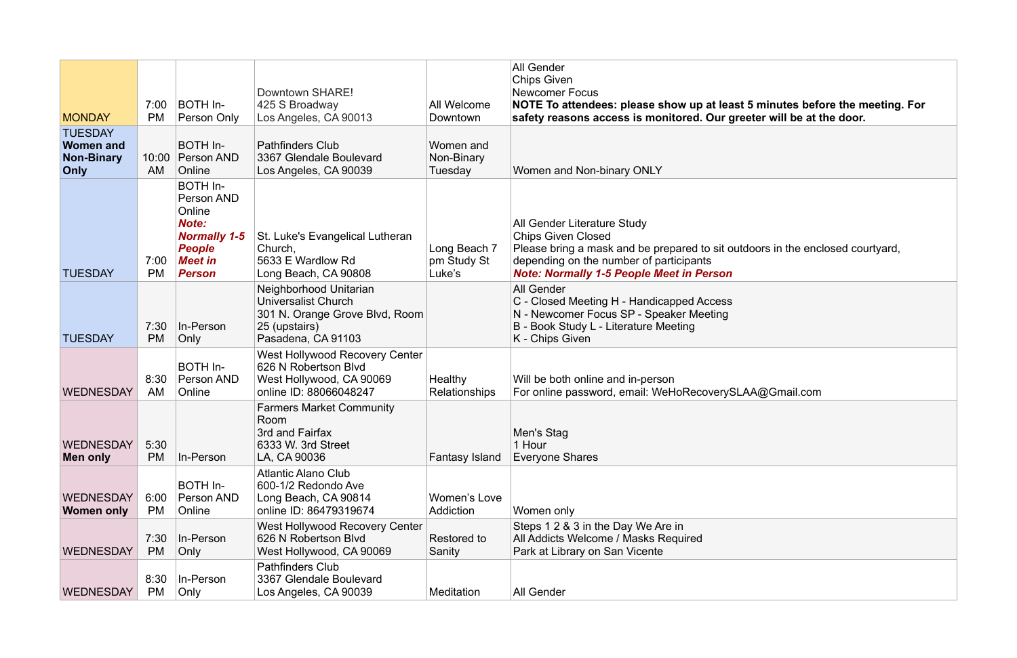| <b>MONDAY</b>                                                   | 7:00<br><b>PM</b> | BOTH In-<br>Person Only                                                                                                            | Downtown SHARE!<br>425 S Broadway<br>Los Angeles, CA 90013                                                                    | All Welcome<br>Downtown               | <b>All Gender</b><br><b>Chips Given</b><br><b>Newcomer Focus</b><br>NOTE To attendees: please show up at least 5 minutes before the meeting. For<br>safety reasons access is monitored. Our greeter will be at the door.                 |
|-----------------------------------------------------------------|-------------------|------------------------------------------------------------------------------------------------------------------------------------|-------------------------------------------------------------------------------------------------------------------------------|---------------------------------------|------------------------------------------------------------------------------------------------------------------------------------------------------------------------------------------------------------------------------------------|
| <b>TUESDAY</b><br><b>Women and</b><br><b>Non-Binary</b><br>Only | 10:00<br>AM       | BOTH In-<br><b>Person AND</b><br>Online                                                                                            | <b>Pathfinders Club</b><br>3367 Glendale Boulevard<br>Los Angeles, CA 90039                                                   | Women and<br>Non-Binary<br>Tuesday    | Women and Non-binary ONLY                                                                                                                                                                                                                |
| <b>TUESDAY</b>                                                  | 7:00<br><b>PM</b> | <b>BOTH In-</b><br>Person AND<br>Online<br><b>Note:</b><br><b>Normally 1-5</b><br><b>People</b><br><b>Meet in</b><br><b>Person</b> | St. Luke's Evangelical Lutheran<br>Church,<br>5633 E Wardlow Rd<br>Long Beach, CA 90808                                       | Long Beach 7<br>pm Study St<br>Luke's | All Gender Literature Study<br><b>Chips Given Closed</b><br>Please bring a mask and be prepared to sit outdoors in the enclosed courtyard,<br>depending on the number of participants<br><b>Note: Normally 1-5 People Meet in Person</b> |
| <b>TUESDAY</b>                                                  | 7:30<br><b>PM</b> | In-Person<br>Only                                                                                                                  | Neighborhood Unitarian<br><b>Universalist Church</b><br>301 N. Orange Grove Blvd, Room<br>25 (upstairs)<br>Pasadena, CA 91103 |                                       | <b>All Gender</b><br>C - Closed Meeting H - Handicapped Access<br>N - Newcomer Focus SP - Speaker Meeting<br>B - Book Study L - Literature Meeting<br>K - Chips Given                                                                    |
| <b>WEDNESDAY</b>                                                | 8:30<br>AM        | BOTH In-<br>Person AND<br>Online                                                                                                   | West Hollywood Recovery Center<br>626 N Robertson Blvd<br>West Hollywood, CA 90069<br>online ID: 88066048247                  | Healthy<br>Relationships              | Will be both online and in-person<br>For online password, email: WeHoRecoverySLAA@Gmail.com                                                                                                                                              |
| <b>WEDNESDAY</b><br>Men only                                    | 5:30<br>PM        | In-Person                                                                                                                          | <b>Farmers Market Community</b><br>Room<br>3rd and Fairfax<br>6333 W. 3rd Street<br>LA, CA 90036                              | <b>Fantasy Island</b>                 | Men's Stag<br>1 Hour<br><b>Everyone Shares</b>                                                                                                                                                                                           |
| <b>WEDNESDAY</b><br>Women only                                  | 6:00<br><b>PM</b> | BOTH In-<br>Person AND<br>Online                                                                                                   | <b>Atlantic Alano Club</b><br>600-1/2 Redondo Ave<br>Long Beach, CA 90814<br>online ID: 86479319674                           | Women's Love<br>Addiction             | Women only                                                                                                                                                                                                                               |
| <b>WEDNESDAY</b>                                                | 7:30<br><b>PM</b> | In-Person<br>Only                                                                                                                  | <b>West Hollywood Recovery Center</b><br>626 N Robertson Blvd<br>West Hollywood, CA 90069                                     | Restored to<br>Sanity                 | Steps 1 2 & 3 in the Day We Are in<br>All Addicts Welcome / Masks Required<br>Park at Library on San Vicente                                                                                                                             |
| <b>WEDNESDAY</b>                                                | 8:30<br>PM        | In-Person<br>Only                                                                                                                  | <b>Pathfinders Club</b><br>3367 Glendale Boulevard<br>Los Angeles, CA 90039                                                   | <b>Meditation</b>                     | All Gender                                                                                                                                                                                                                               |

| 5 minutes before the meeting. For<br>eter will be at the door. |
|----------------------------------------------------------------|
|                                                                |
|                                                                |
| loors in the enclosed courtyard,                               |
|                                                                |
| A@Gmail.com                                                    |
|                                                                |
|                                                                |
|                                                                |
|                                                                |